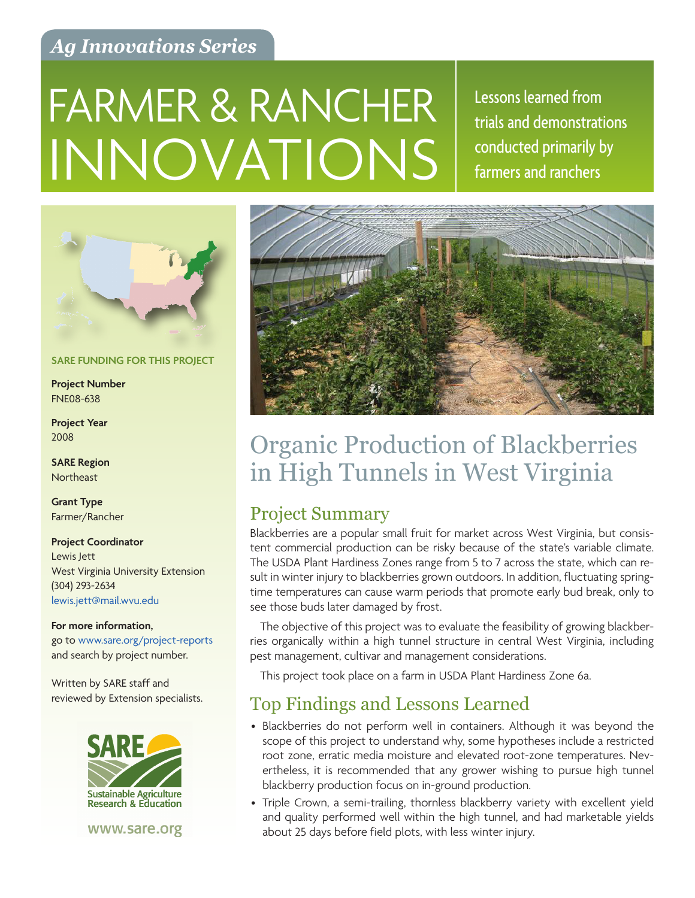## *Ag Innovations Series*

# INNOVATIONS FARMER & RANCHER Essons learned from

trials and demonstrations conducted primarily by farmers and ranchers



**SARE FUNDING FOR THIS PROJECT**

**Project Number** FNE08-638

**Project Year** 2008

**SARE Region Northeast** 

**Grant Type** Farmer/Rancher

**Project Coordinator** Lewis Jett West Virginia University Extension (304) 293-2634 [lewis.jett@mail.wvu.edu](mailto:lewis.jett%40mail.wvu.edu?subject=)

**For more information,**  go to [www.sare.org/project-reports](http://www.sare.org/project-reports) and search by project number.

Written by SARE staff and reviewed by Extension specialists.



www.sare.org



## Organic Production of Blackberries in High Tunnels in West Virginia

## Project Summary

Blackberries are a popular small fruit for market across West Virginia, but consistent commercial production can be risky because of the state's variable climate. The USDA Plant Hardiness Zones range from 5 to 7 across the state, which can result in winter injury to blackberries grown outdoors. In addition, fluctuating springtime temperatures can cause warm periods that promote early bud break, only to see those buds later damaged by frost.

The objective of this project was to evaluate the feasibility of growing blackberries organically within a high tunnel structure in central West Virginia, including pest management, cultivar and management considerations.

This project took place on a farm in USDA Plant Hardiness Zone 6a.

## Top Findings and Lessons Learned

- Blackberries do not perform well in containers. Although it was beyond the scope of this project to understand why, some hypotheses include a restricted root zone, erratic media moisture and elevated root-zone temperatures. Nevertheless, it is recommended that any grower wishing to pursue high tunnel blackberry production focus on in-ground production.
- Triple Crown, a semi-trailing, thornless blackberry variety with excellent yield and quality performed well within the high tunnel, and had marketable yields about 25 days before field plots, with less winter injury.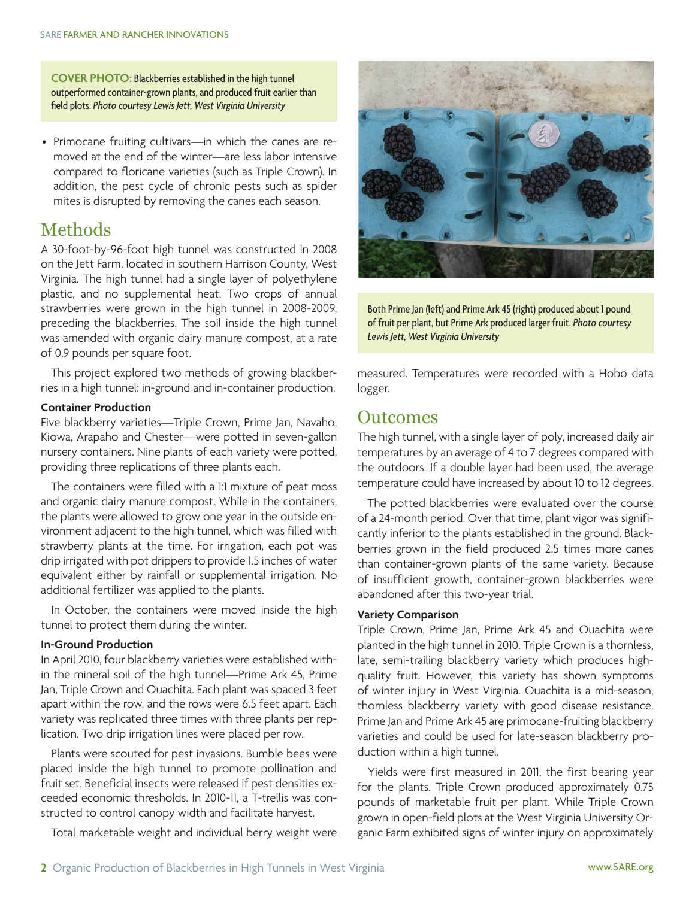**COVER PHOTO:** Blackberries established in the high tunnel outperformed container-grown plants, and produced fruit earlier than field plots. *Photo courtesy Lewis Jett, West Virginia University*

• Primocane fruiting cultivars—in which the canes are removed at the end of the winter—are less labor intensive compared to floricane varieties (such as Triple Crown). In addition, the pest cycle of chronic pests such as spider mites is disrupted by removing the canes each season.

## Methods

A 30-foot-by-96-foot high tunnel was constructed in 2008 on the Jett Farm, located in southern Harrison County, West Virginia. The high tunnel had a single layer of polyethylene plastic, and no supplemental heat. Two crops of annual strawberries were grown in the high tunnel in 2008-2009, preceding the blackberries. The soil inside the high tunnel was amended with organic dairy manure compost, at a rate of 0.9 pounds per square foot.

This project explored two methods of growing blackberries in a high tunnel: in-ground and in-container production.

#### **Container Production**

Five blackberry varieties—Triple Crown, Prime Jan, Navaho, Kiowa, Arapaho and Chester—were potted in seven-gallon nursery containers. Nine plants of each variety were potted, providing three replications of three plants each.

The containers were filled with a 1:1 mixture of peat moss and organic dairy manure compost. While in the containers, the plants were allowed to grow one year in the outside environment adjacent to the high tunnel, which was filled with strawberry plants at the time. For irrigation, each pot was drip irrigated with pot drippers to provide 1.5 inches of water equivalent either by rainfall or supplemental irrigation. No additional fertilizer was applied to the plants.

In October, the containers were moved inside the high tunnel to protect them during the winter.

#### **In-Ground Production**

In April 2010, four blackberry varieties were established within the mineral soil of the high tunnel—Prime Ark 45, Prime Jan, Triple Crown and Ouachita. Each plant was spaced 3 feet apart within the row, and the rows were 6.5 feet apart. Each variety was replicated three times with three plants per replication. Two drip irrigation lines were placed per row.

Plants were scouted for pest invasions. Bumble bees were placed inside the high tunnel to promote pollination and fruit set. Beneficial insects were released if pest densities exceeded economic thresholds. In 2010-11, a T-trellis was constructed to control canopy width and facilitate harvest.

Total marketable weight and individual berry weight were



Both Prime Jan (left) and Prime Ark 45 (right) produced about 1 pound of fruit per plant, but Prime Ark produced larger fruit. *Photo courtesy Lewis Jett, West Virginia University*

measured. Temperatures were recorded with a Hobo data logger.

### **Outcomes**

The high tunnel, with a single layer of poly, increased daily air temperatures by an average of 4 to 7 degrees compared with the outdoors. If a double layer had been used, the average temperature could have increased by about 10 to 12 degrees.

The potted blackberries were evaluated over the course of a 24-month period. Over that time, plant vigor was significantly inferior to the plants established in the ground. Blackberries grown in the field produced 2.5 times more canes than container-grown plants of the same variety. Because of insufficient growth, container-grown blackberries were abandoned after this two-year trial.

#### **Variety Comparison**

Triple Crown, Prime Jan, Prime Ark 45 and Ouachita were planted in the high tunnel in 2010. Triple Crown is a thornless, late, semi-trailing blackberry variety which produces highquality fruit. However, this variety has shown symptoms of winter injury in West Virginia. Ouachita is a mid-season, thornless blackberry variety with good disease resistance. Prime Jan and Prime Ark 45 are primocane-fruiting blackberry varieties and could be used for late-season blackberry production within a high tunnel.

Yields were first measured in 2011, the first bearing year for the plants. Triple Crown produced approximately 0.75 pounds of marketable fruit per plant. While Triple Crown grown in open-field plots at the West Virginia University Organic Farm exhibited signs of winter injury on approximately